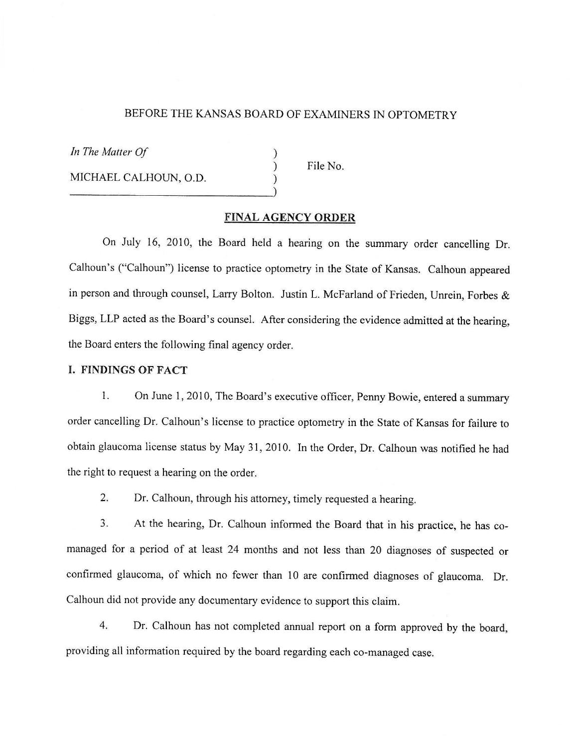## BEFORE THE KANSAS BOARD OF EXAMINERS IN OPTOMETRY

) ) )

In The Matter Of

MICHAEL CALHOUN, O.D.  $\bigcup$ 

File No.

## **FINAL AGENCY ORDER**

On July 16, 2010, the Board held a hearing on the summary order cancelling Dr. Calhoun's ("Calhoun") license to practice optometry in the State of Kansas. Calhoun appeared in person and through counsel, Larry Bolton. Justin L. McFarland of Frieden, Unrein, Forbes & Biggs, LLP acted as the Board's counsel. After considering the evidence admitted at the hearing, the Board enters the following final agency order.

# **I. FINDINGS OF FACT**

l. On June 1, 2010, The Board's executive officer, Penny Bowie, entered a summary order cancelling Dr. Calhoun's license to practice optometry in the State of Kansas for failure to obtain glaucoma license status by May 31, 2010. In the Order, Dr. Calhoun was notified he had the right to request a hearing on the order.

2. Dr. Calhoun, through his attorney, timely requested a hearing.

3. At the hearing, Dr. Calhoun informed the Board that in his practice, he has comanaged for a period of at least 24 months and not less than 20 diagnoses of suspected or confirmed glaucoma, of which no fewer than 10 are confirmed diagnoses of glaucoma. Dr. Calhoun did not provide any documentary evidence to support this claim.

4. Dr. Calhoun has not completed annual report on a form approved by the board, providing all information required by the board regarding each co-managed case.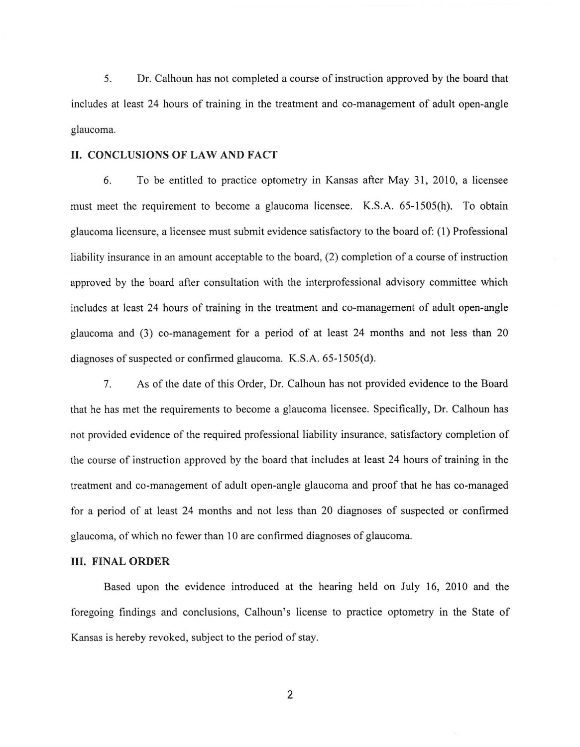5. Dr. Calhoun has not completed a course of instruction approved by the board that includes at least 24 hours of training in the treatment and co-management of adult open-angle glaucoma.

## **II. CONCLUSIONS OF LAW AND FACT**

6. To be entitled to practice optometry in Kansas after May 31, 2010, a licensee must meet the requirement to become a glaucoma licensee. K.S.A. 65-1505(h). To obtain glaucoma licensure, a licensee must submit evidence satisfactory to the board of: ( 1) Professional liability insurance in an amount acceptable to the board, (2) completion of a course of instruction approved by the board after consultation with the interprofessional advisory committee which includes at least 24 hours of training in the treatment and co-management of adult open-angle glaucoma and (3) co-management for a period of at least 24 months and not less than 20 diagnoses of suspected or confirmed glaucoma. K.S.A. 65-1505(d).

7. As of the date of this Order, Dr. Calhoun has not provided evidence to the Board that he has met the requirements to become a glaucoma licensee. Specifically, Dr. Calhoun has not provided evidence of the required professional liability insurance, satisfactory completion of the course of instruction approved by the board that includes at least 24 hours of training in the treatment and co-management of adult open-angle glaucoma and proof that he has co-managed for a period of at least 24 months and not less than 20 diagnoses of suspected or confirmed glaucoma, of which no fewer than 10 are confirmed diagnoses of glaucoma.

## **III. FINAL ORDER**

Based upon the evidence introduced at the hearing held on July 16, 2010 and the foregoing findings and conclusions, Calhoun's license to practice optometry in the State of Kansas is hereby revoked, subject to the period of stay.

2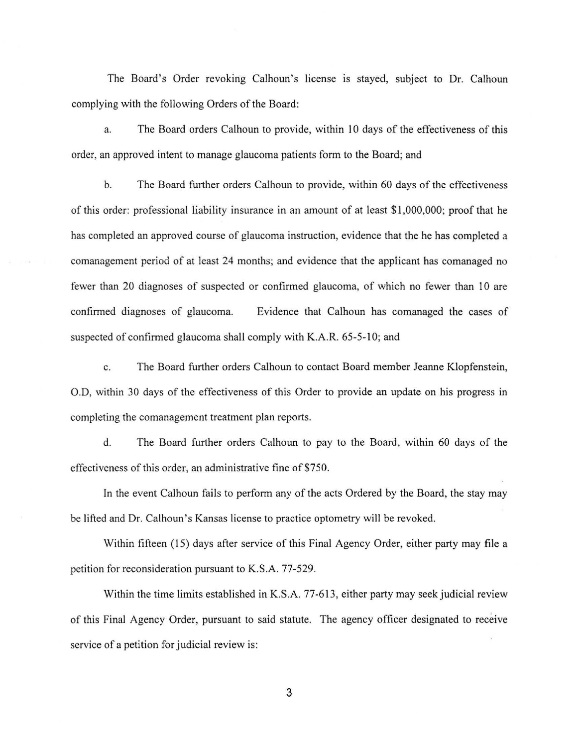The Board's Order revoking Calhoun's license is stayed, subject to Dr. Calhoun complying with the following Orders of the Board:

a. The Board orders Calhoun to provide, within IO days of the effectiveness of this order, an approved intent to manage glaucoma patients form to the Board; and

b. The Board further orders Calhoun to provide, within 60 days of the effectiveness of this order: professional liability insurance in an amount of at least \$1,000,000; proof that he has completed an approved course of glaucoma instruction, evidence that the he has completed a comanagement period of at least 24 months; and evidence that the applicant has comanaged no fewer than 20 diagnoses of suspected or confirmed glaucoma, of which no fewer than 10 are confirmed diagnoses of glaucoma. Evidence that Calhoun has comanaged the cases of suspected of confirmed glaucoma shall comply with K.A.R. 65-5-10; and

c. The Board further orders Calhoun to contact Board member Jeanne Klopfenstein, O.D, within 30 days of the effectiveness of this Order to provide an update on his progress in completing the comanagement treatment plan reports.

d. The Board further orders Calhoun to pay to the Board, within 60 days of the effectiveness of this order, an administrative fine of \$750.

In the event Calhoun fails to perform any of the acts Ordered by the Board, the stay may be lifted and Dr. Calhoun's Kansas license to practice optometry will be revoked.

Within fifteen (15) days after service of this Final Agency Order, either party may file a petition for reconsideration pursuant to K.S.A. 77-529.

Within the time limits established in K.S.A. 77-613, either party may seek judicial review of this Final Agency Order, pursuant to said statute. The agency officer designated to receive service of a petition for judicial review is:

3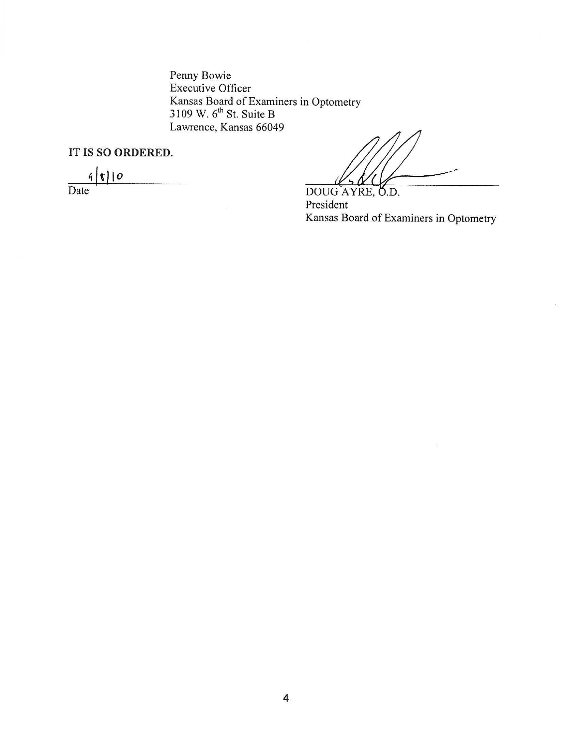Penny Bowie Executive Officer Kansas Board of Examiners in Optometry<br>3109 W. 6<sup>th</sup> St. Suite B<br>Lawrence, Kansas 66049

IT IS SO ORDERED.

 $9|8|10$  $\overline{\text{Date}}$ 

DOUG AYRE, O.D. President Kansas Board of Examiners in Optometry